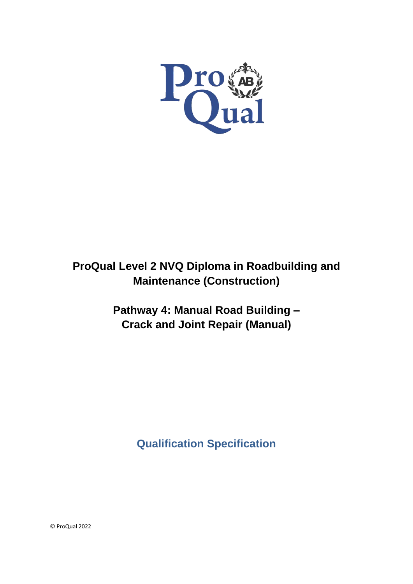

# **ProQual Level 2 NVQ Diploma in Roadbuilding and Maintenance (Construction)**

**Pathway 4: Manual Road Building – Crack and Joint Repair (Manual)**

**Qualification Specification**

© ProQual 2022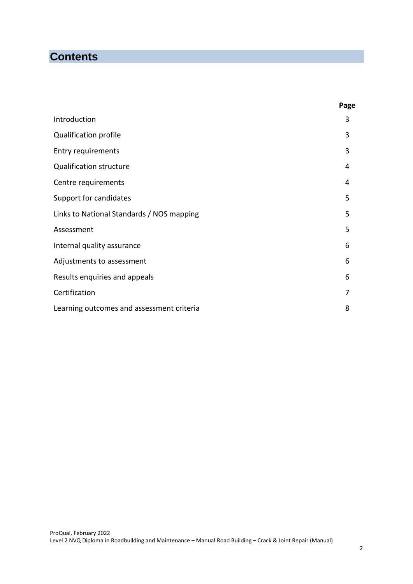## **Contents**

|                                           | Page |
|-------------------------------------------|------|
| Introduction                              | 3    |
| Qualification profile                     | 3    |
| <b>Entry requirements</b>                 | 3    |
| <b>Qualification structure</b>            | 4    |
| Centre requirements                       | 4    |
| Support for candidates                    | 5    |
| Links to National Standards / NOS mapping | 5    |
| Assessment                                | 5    |
| Internal quality assurance                | 6    |
| Adjustments to assessment                 | 6    |
| Results enquiries and appeals             | 6    |
| Certification                             | 7    |
| Learning outcomes and assessment criteria | 8    |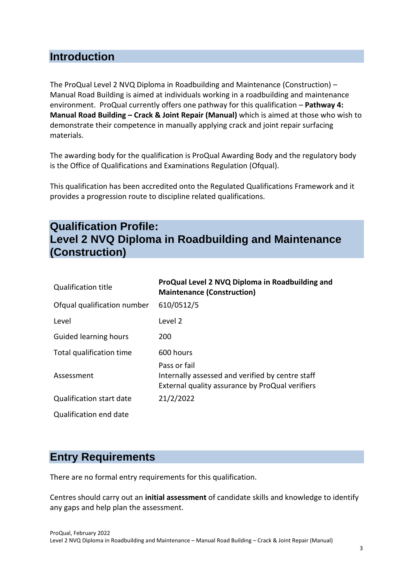### **Introduction**

The ProQual Level 2 NVQ Diploma in Roadbuilding and Maintenance (Construction) – Manual Road Building is aimed at individuals working in a roadbuilding and maintenance environment. ProQual currently offers one pathway for this qualification – **Pathway 4: Manual Road Building – Crack & Joint Repair (Manual)** which is aimed at those who wish to demonstrate their competence in manually applying crack and joint repair surfacing materials.

The awarding body for the qualification is ProQual Awarding Body and the regulatory body is the Office of Qualifications and Examinations Regulation (Ofqual).

This qualification has been accredited onto the Regulated Qualifications Framework and it provides a progression route to discipline related qualifications.

## **Qualification Profile: Level 2 NVQ Diploma in Roadbuilding and Maintenance (Construction)**

| <b>Qualification title</b>      | ProQual Level 2 NVQ Diploma in Roadbuilding and<br><b>Maintenance (Construction)</b>                                |
|---------------------------------|---------------------------------------------------------------------------------------------------------------------|
| Ofqual qualification number     | 610/0512/5                                                                                                          |
| Level                           | Level 2                                                                                                             |
| Guided learning hours           | 200                                                                                                                 |
| Total qualification time        | 600 hours                                                                                                           |
| Assessment                      | Pass or fail<br>Internally assessed and verified by centre staff<br>External quality assurance by ProQual verifiers |
| <b>Qualification start date</b> | 21/2/2022                                                                                                           |
| Qualification end date          |                                                                                                                     |

## **Entry Requirements**

There are no formal entry requirements for this qualification.

Centres should carry out an **initial assessment** of candidate skills and knowledge to identify any gaps and help plan the assessment.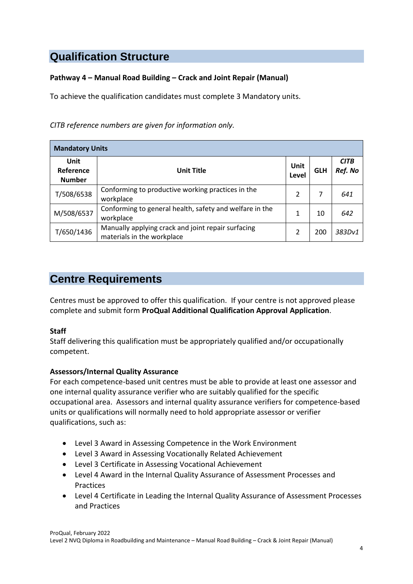## **Qualification Structure**

### **Pathway 4 – Manual Road Building – Crack and Joint Repair (Manual)**

To achieve the qualification candidates must complete 3 Mandatory units.

*CITB reference numbers are given for information only.*

| <b>Mandatory Units</b>             |                                                                                  |               |            |                        |  |  |  |  |
|------------------------------------|----------------------------------------------------------------------------------|---------------|------------|------------------------|--|--|--|--|
| Unit<br>Reference<br><b>Number</b> | <b>Unit Title</b>                                                                | Unit<br>Level | <b>GLH</b> | <b>CITB</b><br>Ref. No |  |  |  |  |
| T/508/6538                         | Conforming to productive working practices in the<br>workplace                   | 2             | 7          | 641                    |  |  |  |  |
| M/508/6537                         | Conforming to general health, safety and welfare in the<br>workplace             |               | 10         | 642                    |  |  |  |  |
| T/650/1436                         | Manually applying crack and joint repair surfacing<br>materials in the workplace | 2             | 200        | 383Dv1                 |  |  |  |  |

## **Centre Requirements**

Centres must be approved to offer this qualification. If your centre is not approved please complete and submit form **ProQual Additional Qualification Approval Application**.

### **Staff**

Staff delivering this qualification must be appropriately qualified and/or occupationally competent.

### **Assessors/Internal Quality Assurance**

For each competence-based unit centres must be able to provide at least one assessor and one internal quality assurance verifier who are suitably qualified for the specific occupational area. Assessors and internal quality assurance verifiers for competence-based units or qualifications will normally need to hold appropriate assessor or verifier qualifications, such as:

- Level 3 Award in Assessing Competence in the Work Environment
- Level 3 Award in Assessing Vocationally Related Achievement
- Level 3 Certificate in Assessing Vocational Achievement
- Level 4 Award in the Internal Quality Assurance of Assessment Processes and **Practices**
- Level 4 Certificate in Leading the Internal Quality Assurance of Assessment Processes and Practices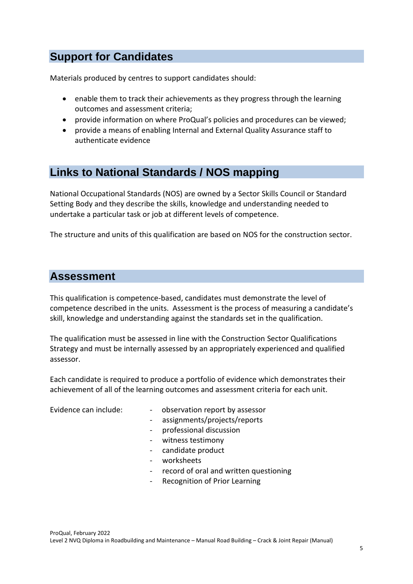## **Support for Candidates**

Materials produced by centres to support candidates should:

- enable them to track their achievements as they progress through the learning outcomes and assessment criteria;
- provide information on where ProQual's policies and procedures can be viewed;
- provide a means of enabling Internal and External Quality Assurance staff to authenticate evidence

### **Links to National Standards / NOS mapping**

National Occupational Standards (NOS) are owned by a Sector Skills Council or Standard Setting Body and they describe the skills, knowledge and understanding needed to undertake a particular task or job at different levels of competence.

The structure and units of this qualification are based on NOS for the construction sector.

### **Assessment**

This qualification is competence-based, candidates must demonstrate the level of competence described in the units. Assessment is the process of measuring a candidate's skill, knowledge and understanding against the standards set in the qualification.

The qualification must be assessed in line with the Construction Sector Qualifications Strategy and must be internally assessed by an appropriately experienced and qualified assessor.

Each candidate is required to produce a portfolio of evidence which demonstrates their achievement of all of the learning outcomes and assessment criteria for each unit.

- Evidence can include: - observation report by assessor
	- assignments/projects/reports
	- professional discussion
	- witness testimony
	- candidate product
	- worksheets
	- record of oral and written questioning
	- Recognition of Prior Learning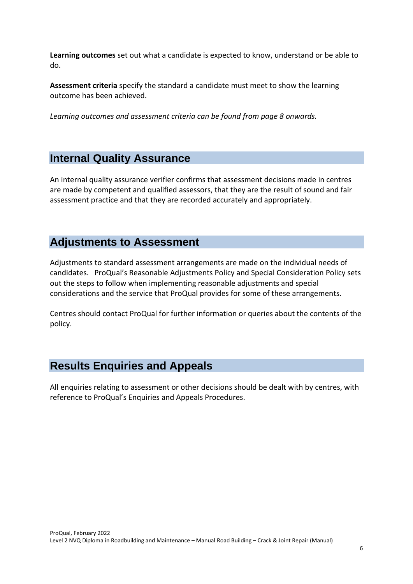**Learning outcomes** set out what a candidate is expected to know, understand or be able to do.

**Assessment criteria** specify the standard a candidate must meet to show the learning outcome has been achieved.

*Learning outcomes and assessment criteria can be found from page 8 onwards.* 

## **Internal Quality Assurance**

An internal quality assurance verifier confirms that assessment decisions made in centres are made by competent and qualified assessors, that they are the result of sound and fair assessment practice and that they are recorded accurately and appropriately.

### **Adjustments to Assessment**

Adjustments to standard assessment arrangements are made on the individual needs of candidates. ProQual's Reasonable Adjustments Policy and Special Consideration Policy sets out the steps to follow when implementing reasonable adjustments and special considerations and the service that ProQual provides for some of these arrangements.

Centres should contact ProQual for further information or queries about the contents of the policy.

## **Results Enquiries and Appeals**

All enquiries relating to assessment or other decisions should be dealt with by centres, with reference to ProQual's Enquiries and Appeals Procedures.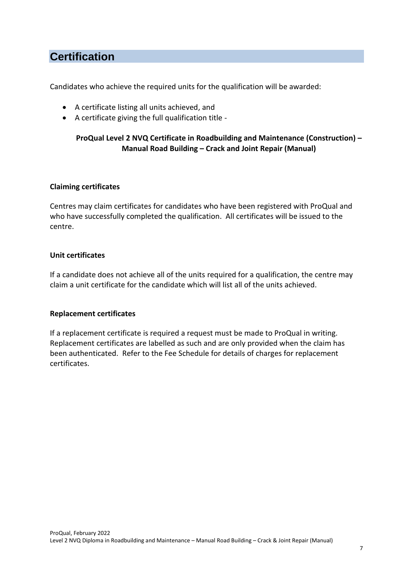## **Certification**

Candidates who achieve the required units for the qualification will be awarded:

- A certificate listing all units achieved, and
- A certificate giving the full qualification title -

### **ProQual Level 2 NVQ Certificate in Roadbuilding and Maintenance (Construction) – Manual Road Building – Crack and Joint Repair (Manual)**

#### **Claiming certificates**

Centres may claim certificates for candidates who have been registered with ProQual and who have successfully completed the qualification. All certificates will be issued to the centre.

#### **Unit certificates**

If a candidate does not achieve all of the units required for a qualification, the centre may claim a unit certificate for the candidate which will list all of the units achieved.

#### **Replacement certificates**

If a replacement certificate is required a request must be made to ProQual in writing. Replacement certificates are labelled as such and are only provided when the claim has been authenticated. Refer to the Fee Schedule for details of charges for replacement certificates.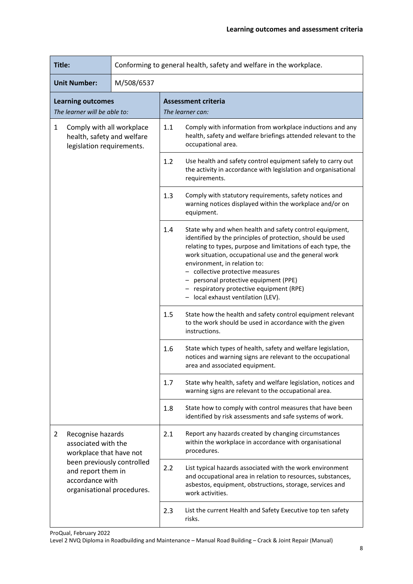| Title:                                                                                               |                                                                     | Conforming to general health, safety and welfare in the workplace. |                                                                                                                                                                                                                                                                                                                                                                                                                                             |                                                                                                                                                |
|------------------------------------------------------------------------------------------------------|---------------------------------------------------------------------|--------------------------------------------------------------------|---------------------------------------------------------------------------------------------------------------------------------------------------------------------------------------------------------------------------------------------------------------------------------------------------------------------------------------------------------------------------------------------------------------------------------------------|------------------------------------------------------------------------------------------------------------------------------------------------|
|                                                                                                      | <b>Unit Number:</b>                                                 | M/508/6537                                                         |                                                                                                                                                                                                                                                                                                                                                                                                                                             |                                                                                                                                                |
|                                                                                                      | <b>Learning outcomes</b><br>The learner will be able to:            |                                                                    |                                                                                                                                                                                                                                                                                                                                                                                                                                             | <b>Assessment criteria</b><br>The learner can:                                                                                                 |
| $\mathbf{1}$<br>Comply with all workplace<br>health, safety and welfare<br>legislation requirements. |                                                                     | 1.1                                                                | Comply with information from workplace inductions and any<br>health, safety and welfare briefings attended relevant to the<br>occupational area.                                                                                                                                                                                                                                                                                            |                                                                                                                                                |
|                                                                                                      |                                                                     |                                                                    | 1.2                                                                                                                                                                                                                                                                                                                                                                                                                                         | Use health and safety control equipment safely to carry out<br>the activity in accordance with legislation and organisational<br>requirements. |
|                                                                                                      |                                                                     |                                                                    | 1.3                                                                                                                                                                                                                                                                                                                                                                                                                                         | Comply with statutory requirements, safety notices and<br>warning notices displayed within the workplace and/or on<br>equipment.               |
|                                                                                                      |                                                                     | 1.4                                                                | State why and when health and safety control equipment,<br>identified by the principles of protection, should be used<br>relating to types, purpose and limitations of each type, the<br>work situation, occupational use and the general work<br>environment, in relation to:<br>- collective protective measures<br>personal protective equipment (PPE)<br>- respiratory protective equipment (RPE)<br>- local exhaust ventilation (LEV). |                                                                                                                                                |
|                                                                                                      |                                                                     | 1.5                                                                | State how the health and safety control equipment relevant<br>to the work should be used in accordance with the given<br>instructions.                                                                                                                                                                                                                                                                                                      |                                                                                                                                                |
|                                                                                                      |                                                                     | 1.6                                                                | State which types of health, safety and welfare legislation,<br>notices and warning signs are relevant to the occupational<br>area and associated equipment.                                                                                                                                                                                                                                                                                |                                                                                                                                                |
|                                                                                                      |                                                                     |                                                                    | 1.7                                                                                                                                                                                                                                                                                                                                                                                                                                         | State why health, safety and welfare legislation, notices and<br>warning signs are relevant to the occupational area.                          |
|                                                                                                      |                                                                     |                                                                    | 1.8                                                                                                                                                                                                                                                                                                                                                                                                                                         | State how to comply with control measures that have been<br>identified by risk assessments and safe systems of work.                           |
| $\overline{2}$                                                                                       | Recognise hazards<br>associated with the<br>workplace that have not |                                                                    | 2.1                                                                                                                                                                                                                                                                                                                                                                                                                                         | Report any hazards created by changing circumstances<br>within the workplace in accordance with organisational<br>procedures.                  |
| been previously controlled<br>and report them in<br>accordance with<br>organisational procedures.    |                                                                     | 2.2                                                                | List typical hazards associated with the work environment<br>and occupational area in relation to resources, substances,<br>asbestos, equipment, obstructions, storage, services and<br>work activities.                                                                                                                                                                                                                                    |                                                                                                                                                |
|                                                                                                      |                                                                     | 2.3                                                                | List the current Health and Safety Executive top ten safety<br>risks.                                                                                                                                                                                                                                                                                                                                                                       |                                                                                                                                                |

ProQual, February 2022

Level 2 NVQ Diploma in Roadbuilding and Maintenance – Manual Road Building – Crack & Joint Repair (Manual)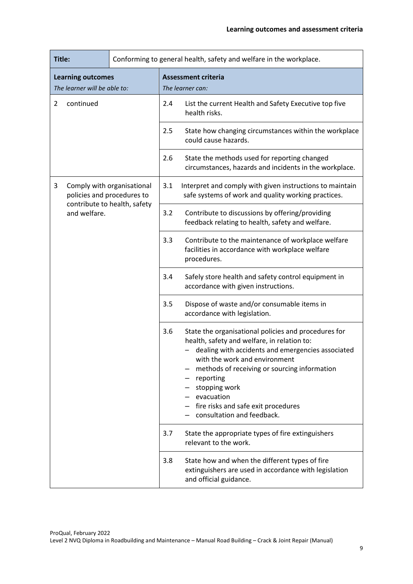| Title:                                                        |                                                          | Conforming to general health, safety and welfare in the workplace. |                                                                                                                 |                                                                                                                                                                                                                                                                                                                                                            |
|---------------------------------------------------------------|----------------------------------------------------------|--------------------------------------------------------------------|-----------------------------------------------------------------------------------------------------------------|------------------------------------------------------------------------------------------------------------------------------------------------------------------------------------------------------------------------------------------------------------------------------------------------------------------------------------------------------------|
|                                                               | <b>Learning outcomes</b><br>The learner will be able to: |                                                                    |                                                                                                                 | <b>Assessment criteria</b><br>The learner can:                                                                                                                                                                                                                                                                                                             |
| $\overline{2}$                                                | continued                                                |                                                                    | 2.4                                                                                                             | List the current Health and Safety Executive top five<br>health risks.                                                                                                                                                                                                                                                                                     |
|                                                               |                                                          |                                                                    | 2.5                                                                                                             | State how changing circumstances within the workplace<br>could cause hazards.                                                                                                                                                                                                                                                                              |
|                                                               |                                                          |                                                                    | 2.6                                                                                                             | State the methods used for reporting changed<br>circumstances, hazards and incidents in the workplace.                                                                                                                                                                                                                                                     |
| Comply with organisational<br>3<br>policies and procedures to |                                                          | 3.1                                                                | Interpret and comply with given instructions to maintain<br>safe systems of work and quality working practices. |                                                                                                                                                                                                                                                                                                                                                            |
|                                                               | contribute to health, safety<br>and welfare.             |                                                                    | 3.2                                                                                                             | Contribute to discussions by offering/providing<br>feedback relating to health, safety and welfare.                                                                                                                                                                                                                                                        |
|                                                               |                                                          |                                                                    | 3.3                                                                                                             | Contribute to the maintenance of workplace welfare<br>facilities in accordance with workplace welfare<br>procedures.                                                                                                                                                                                                                                       |
|                                                               |                                                          |                                                                    | 3.4                                                                                                             | Safely store health and safety control equipment in<br>accordance with given instructions.                                                                                                                                                                                                                                                                 |
|                                                               |                                                          |                                                                    | 3.5                                                                                                             | Dispose of waste and/or consumable items in<br>accordance with legislation.                                                                                                                                                                                                                                                                                |
|                                                               |                                                          |                                                                    | 3.6                                                                                                             | State the organisational policies and procedures for<br>health, safety and welfare, in relation to:<br>dealing with accidents and emergencies associated<br>with the work and environment<br>methods of receiving or sourcing information<br>reporting<br>stopping work<br>evacuation<br>fire risks and safe exit procedures<br>consultation and feedback. |
|                                                               |                                                          |                                                                    | 3.7                                                                                                             | State the appropriate types of fire extinguishers<br>relevant to the work.                                                                                                                                                                                                                                                                                 |
|                                                               |                                                          |                                                                    | 3.8                                                                                                             | State how and when the different types of fire<br>extinguishers are used in accordance with legislation<br>and official guidance.                                                                                                                                                                                                                          |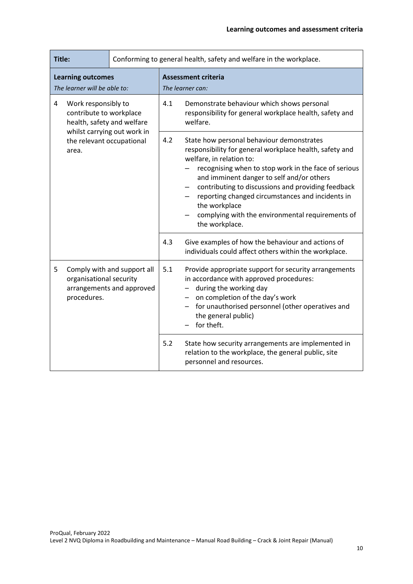| Title:                                                                                                                                                 |                                                          | Conforming to general health, safety and welfare in the workplace. |                                                                                                                                                                                                                                                                                                                                                                                                                                        |                                                                                                                                                                                                                                                          |
|--------------------------------------------------------------------------------------------------------------------------------------------------------|----------------------------------------------------------|--------------------------------------------------------------------|----------------------------------------------------------------------------------------------------------------------------------------------------------------------------------------------------------------------------------------------------------------------------------------------------------------------------------------------------------------------------------------------------------------------------------------|----------------------------------------------------------------------------------------------------------------------------------------------------------------------------------------------------------------------------------------------------------|
|                                                                                                                                                        | <b>Learning outcomes</b><br>The learner will be able to: |                                                                    |                                                                                                                                                                                                                                                                                                                                                                                                                                        | <b>Assessment criteria</b><br>The learner can:                                                                                                                                                                                                           |
| Work responsibly to<br>4<br>contribute to workplace<br>health, safety and welfare<br>whilst carrying out work in<br>the relevant occupational<br>area. |                                                          | 4.1                                                                | Demonstrate behaviour which shows personal<br>responsibility for general workplace health, safety and<br>welfare.                                                                                                                                                                                                                                                                                                                      |                                                                                                                                                                                                                                                          |
|                                                                                                                                                        |                                                          | 4.2                                                                | State how personal behaviour demonstrates<br>responsibility for general workplace health, safety and<br>welfare, in relation to:<br>recognising when to stop work in the face of serious<br>and imminent danger to self and/or others<br>contributing to discussions and providing feedback<br>reporting changed circumstances and incidents in<br>the workplace<br>complying with the environmental requirements of<br>the workplace. |                                                                                                                                                                                                                                                          |
|                                                                                                                                                        |                                                          |                                                                    | 4.3                                                                                                                                                                                                                                                                                                                                                                                                                                    | Give examples of how the behaviour and actions of<br>individuals could affect others within the workplace.                                                                                                                                               |
| 5                                                                                                                                                      | organisational security<br>procedures.                   | Comply with and support all<br>arrangements and approved           | 5.1                                                                                                                                                                                                                                                                                                                                                                                                                                    | Provide appropriate support for security arrangements<br>in accordance with approved procedures:<br>during the working day<br>on completion of the day's work<br>- for unauthorised personnel (other operatives and<br>the general public)<br>for theft. |
|                                                                                                                                                        |                                                          |                                                                    | 5.2                                                                                                                                                                                                                                                                                                                                                                                                                                    | State how security arrangements are implemented in<br>relation to the workplace, the general public, site<br>personnel and resources.                                                                                                                    |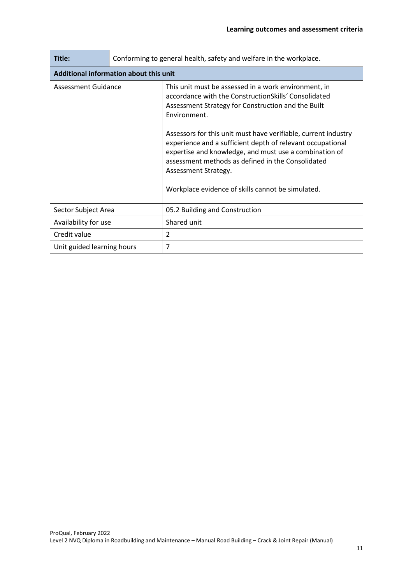| Title:                                 | Conforming to general health, safety and welfare in the workplace. |                                                                                                                                                                                                                                                                                                                                                                                                                                                                                                                 |  |  |
|----------------------------------------|--------------------------------------------------------------------|-----------------------------------------------------------------------------------------------------------------------------------------------------------------------------------------------------------------------------------------------------------------------------------------------------------------------------------------------------------------------------------------------------------------------------------------------------------------------------------------------------------------|--|--|
| Additional information about this unit |                                                                    |                                                                                                                                                                                                                                                                                                                                                                                                                                                                                                                 |  |  |
| <b>Assessment Guidance</b>             |                                                                    | This unit must be assessed in a work environment, in<br>accordance with the Construction Skills' Consolidated<br>Assessment Strategy for Construction and the Built<br>Environment.<br>Assessors for this unit must have verifiable, current industry<br>experience and a sufficient depth of relevant occupational<br>expertise and knowledge, and must use a combination of<br>assessment methods as defined in the Consolidated<br>Assessment Strategy.<br>Workplace evidence of skills cannot be simulated. |  |  |
| Sector Subject Area                    |                                                                    | 05.2 Building and Construction                                                                                                                                                                                                                                                                                                                                                                                                                                                                                  |  |  |
| Availability for use                   |                                                                    | Shared unit                                                                                                                                                                                                                                                                                                                                                                                                                                                                                                     |  |  |
| Credit value                           |                                                                    | 2                                                                                                                                                                                                                                                                                                                                                                                                                                                                                                               |  |  |
| Unit guided learning hours             |                                                                    | 7                                                                                                                                                                                                                                                                                                                                                                                                                                                                                                               |  |  |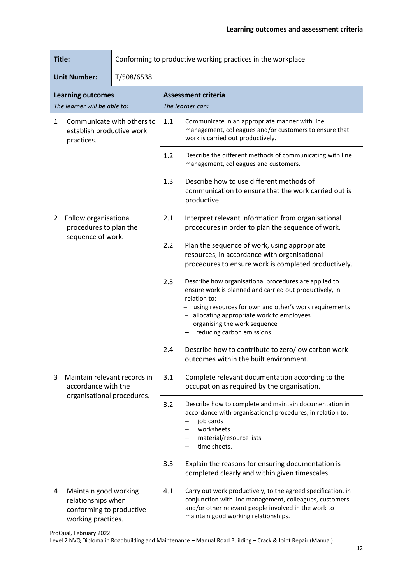|                                                                            | Title:<br>Conforming to productive working practices in the workplace                         |            |                                                                                                                                                                                                                                                                                                         |                                                                                                                                                                                                                         |
|----------------------------------------------------------------------------|-----------------------------------------------------------------------------------------------|------------|---------------------------------------------------------------------------------------------------------------------------------------------------------------------------------------------------------------------------------------------------------------------------------------------------------|-------------------------------------------------------------------------------------------------------------------------------------------------------------------------------------------------------------------------|
|                                                                            | <b>Unit Number:</b>                                                                           | T/508/6538 |                                                                                                                                                                                                                                                                                                         |                                                                                                                                                                                                                         |
|                                                                            | <b>Learning outcomes</b><br>The learner will be able to:                                      |            |                                                                                                                                                                                                                                                                                                         | <b>Assessment criteria</b><br>The learner can:                                                                                                                                                                          |
| Communicate with others to<br>1<br>establish productive work<br>practices. |                                                                                               | 1.1        | Communicate in an appropriate manner with line<br>management, colleagues and/or customers to ensure that<br>work is carried out productively.                                                                                                                                                           |                                                                                                                                                                                                                         |
|                                                                            |                                                                                               |            | 1.2                                                                                                                                                                                                                                                                                                     | Describe the different methods of communicating with line<br>management, colleagues and customers.                                                                                                                      |
|                                                                            |                                                                                               | 1.3        | Describe how to use different methods of<br>communication to ensure that the work carried out is<br>productive.                                                                                                                                                                                         |                                                                                                                                                                                                                         |
| 2                                                                          | Follow organisational<br>procedures to plan the                                               |            | 2.1                                                                                                                                                                                                                                                                                                     | Interpret relevant information from organisational<br>procedures in order to plan the sequence of work.                                                                                                                 |
|                                                                            | sequence of work.                                                                             | 2.2        | Plan the sequence of work, using appropriate<br>resources, in accordance with organisational<br>procedures to ensure work is completed productively.                                                                                                                                                    |                                                                                                                                                                                                                         |
|                                                                            |                                                                                               | 2.3        | Describe how organisational procedures are applied to<br>ensure work is planned and carried out productively, in<br>relation to:<br>using resources for own and other's work requirements<br>- allocating appropriate work to employees<br>- organising the work sequence<br>reducing carbon emissions. |                                                                                                                                                                                                                         |
|                                                                            |                                                                                               |            | 2.4                                                                                                                                                                                                                                                                                                     | Describe how to contribute to zero/low carbon work<br>outcomes within the built environment.                                                                                                                            |
| 3                                                                          | Maintain relevant records in<br>accordance with the<br>organisational procedures.             |            | 3.1                                                                                                                                                                                                                                                                                                     | Complete relevant documentation according to the<br>occupation as required by the organisation.                                                                                                                         |
|                                                                            |                                                                                               | 3.2        | Describe how to complete and maintain documentation in<br>accordance with organisational procedures, in relation to:<br>job cards<br>worksheets<br>material/resource lists<br>time sheets.                                                                                                              |                                                                                                                                                                                                                         |
|                                                                            |                                                                                               |            | 3.3                                                                                                                                                                                                                                                                                                     | Explain the reasons for ensuring documentation is<br>completed clearly and within given timescales.                                                                                                                     |
| 4                                                                          | Maintain good working<br>relationships when<br>conforming to productive<br>working practices. |            | 4.1                                                                                                                                                                                                                                                                                                     | Carry out work productively, to the agreed specification, in<br>conjunction with line management, colleagues, customers<br>and/or other relevant people involved in the work to<br>maintain good working relationships. |

ProQual, February 2022

Level 2 NVQ Diploma in Roadbuilding and Maintenance – Manual Road Building – Crack & Joint Repair (Manual)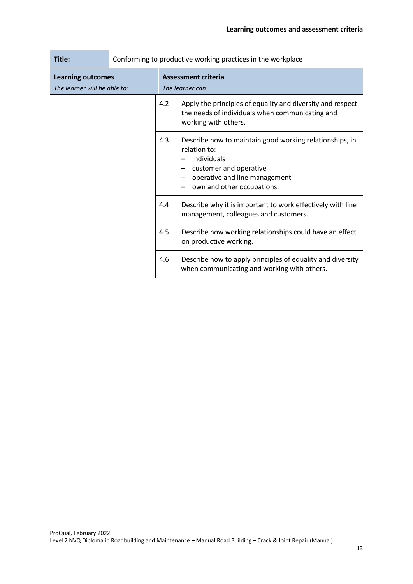| Title:                                                   | Conforming to productive working practices in the workplace |                                         |                                                                                                                                                                                 |  |
|----------------------------------------------------------|-------------------------------------------------------------|-----------------------------------------|---------------------------------------------------------------------------------------------------------------------------------------------------------------------------------|--|
| <b>Learning outcomes</b><br>The learner will be able to: |                                                             | Assessment criteria<br>The learner can: |                                                                                                                                                                                 |  |
|                                                          |                                                             | 4.2                                     | Apply the principles of equality and diversity and respect<br>the needs of individuals when communicating and<br>working with others.                                           |  |
|                                                          |                                                             | 4.3                                     | Describe how to maintain good working relationships, in<br>relation to:<br>individuals<br>customer and operative<br>operative and line management<br>own and other occupations. |  |
|                                                          |                                                             | 4.4                                     | Describe why it is important to work effectively with line<br>management, colleagues and customers.                                                                             |  |
|                                                          |                                                             | 4.5                                     | Describe how working relationships could have an effect<br>on productive working.                                                                                               |  |
|                                                          |                                                             | 4.6                                     | Describe how to apply principles of equality and diversity<br>when communicating and working with others.                                                                       |  |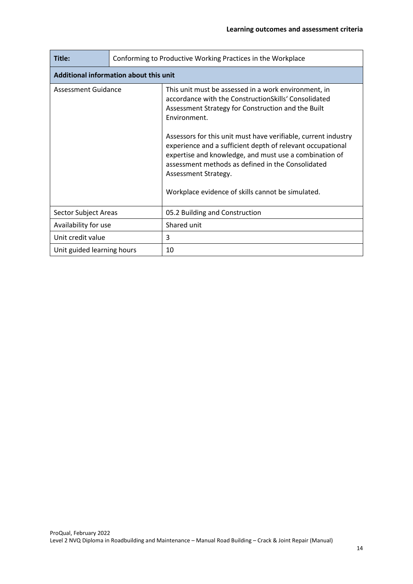| Title:                                 | Conforming to Productive Working Practices in the Workplace |                                                                                                                                                                                                                                                                                                                                                                                                                                                                                                                |  |  |
|----------------------------------------|-------------------------------------------------------------|----------------------------------------------------------------------------------------------------------------------------------------------------------------------------------------------------------------------------------------------------------------------------------------------------------------------------------------------------------------------------------------------------------------------------------------------------------------------------------------------------------------|--|--|
| Additional information about this unit |                                                             |                                                                                                                                                                                                                                                                                                                                                                                                                                                                                                                |  |  |
| Assessment Guidance                    |                                                             | This unit must be assessed in a work environment, in<br>accordance with the ConstructionSkills' Consolidated<br>Assessment Strategy for Construction and the Built<br>Environment.<br>Assessors for this unit must have verifiable, current industry<br>experience and a sufficient depth of relevant occupational<br>expertise and knowledge, and must use a combination of<br>assessment methods as defined in the Consolidated<br>Assessment Strategy.<br>Workplace evidence of skills cannot be simulated. |  |  |
| Sector Subject Areas                   |                                                             | 05.2 Building and Construction                                                                                                                                                                                                                                                                                                                                                                                                                                                                                 |  |  |
| Availability for use                   |                                                             | Shared unit                                                                                                                                                                                                                                                                                                                                                                                                                                                                                                    |  |  |
| Unit credit value                      |                                                             | 3                                                                                                                                                                                                                                                                                                                                                                                                                                                                                                              |  |  |
| Unit guided learning hours             |                                                             | 10                                                                                                                                                                                                                                                                                                                                                                                                                                                                                                             |  |  |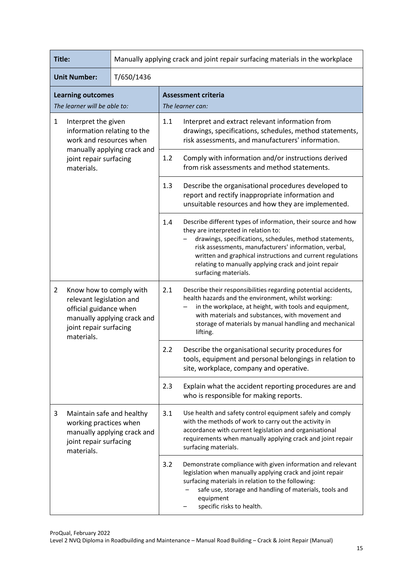| Title:                                                                                                                                                               |                                                                                             | Manually applying crack and joint repair surfacing materials in the workplace |                                                                                                                                                                                                                                                                                                                                                                         |                                                                                                                                                                                                                                                                                  |
|----------------------------------------------------------------------------------------------------------------------------------------------------------------------|---------------------------------------------------------------------------------------------|-------------------------------------------------------------------------------|-------------------------------------------------------------------------------------------------------------------------------------------------------------------------------------------------------------------------------------------------------------------------------------------------------------------------------------------------------------------------|----------------------------------------------------------------------------------------------------------------------------------------------------------------------------------------------------------------------------------------------------------------------------------|
| <b>Unit Number:</b><br>T/650/1436                                                                                                                                    |                                                                                             |                                                                               |                                                                                                                                                                                                                                                                                                                                                                         |                                                                                                                                                                                                                                                                                  |
|                                                                                                                                                                      | <b>Learning outcomes</b><br>The learner will be able to:                                    |                                                                               |                                                                                                                                                                                                                                                                                                                                                                         | <b>Assessment criteria</b><br>The learner can:                                                                                                                                                                                                                                   |
| $\mathbf{1}$<br>Interpret the given<br>information relating to the<br>work and resources when                                                                        |                                                                                             | 1.1                                                                           | Interpret and extract relevant information from<br>drawings, specifications, schedules, method statements,<br>risk assessments, and manufacturers' information.                                                                                                                                                                                                         |                                                                                                                                                                                                                                                                                  |
|                                                                                                                                                                      | joint repair surfacing<br>materials.                                                        | manually applying crack and                                                   | 1.2                                                                                                                                                                                                                                                                                                                                                                     | Comply with information and/or instructions derived<br>from risk assessments and method statements.                                                                                                                                                                              |
|                                                                                                                                                                      |                                                                                             | 1.3                                                                           | Describe the organisational procedures developed to<br>report and rectify inappropriate information and<br>unsuitable resources and how they are implemented.                                                                                                                                                                                                           |                                                                                                                                                                                                                                                                                  |
|                                                                                                                                                                      |                                                                                             | 1.4                                                                           | Describe different types of information, their source and how<br>they are interpreted in relation to:<br>drawings, specifications, schedules, method statements,<br>risk assessments, manufacturers' information, verbal,<br>written and graphical instructions and current regulations<br>relating to manually applying crack and joint repair<br>surfacing materials. |                                                                                                                                                                                                                                                                                  |
| Know how to comply with<br>$\mathbf{2}$<br>relevant legislation and<br>official guidance when<br>manually applying crack and<br>joint repair surfacing<br>materials. |                                                                                             | 2.1                                                                           | Describe their responsibilities regarding potential accidents,<br>health hazards and the environment, whilst working:<br>in the workplace, at height, with tools and equipment,<br>with materials and substances, with movement and<br>storage of materials by manual handling and mechanical<br>lifting.                                                               |                                                                                                                                                                                                                                                                                  |
|                                                                                                                                                                      |                                                                                             |                                                                               | 2.2                                                                                                                                                                                                                                                                                                                                                                     | Describe the organisational security procedures for<br>tools, equipment and personal belongings in relation to<br>site, workplace, company and operative.                                                                                                                        |
|                                                                                                                                                                      |                                                                                             |                                                                               | 2.3                                                                                                                                                                                                                                                                                                                                                                     | Explain what the accident reporting procedures are and<br>who is responsible for making reports.                                                                                                                                                                                 |
| 3                                                                                                                                                                    | Maintain safe and healthy<br>working practices when<br>joint repair surfacing<br>materials. | manually applying crack and                                                   | 3.1                                                                                                                                                                                                                                                                                                                                                                     | Use health and safety control equipment safely and comply<br>with the methods of work to carry out the activity in<br>accordance with current legislation and organisational<br>requirements when manually applying crack and joint repair<br>surfacing materials.               |
|                                                                                                                                                                      |                                                                                             |                                                                               | 3.2                                                                                                                                                                                                                                                                                                                                                                     | Demonstrate compliance with given information and relevant<br>legislation when manually applying crack and joint repair<br>surfacing materials in relation to the following:<br>safe use, storage and handling of materials, tools and<br>equipment<br>specific risks to health. |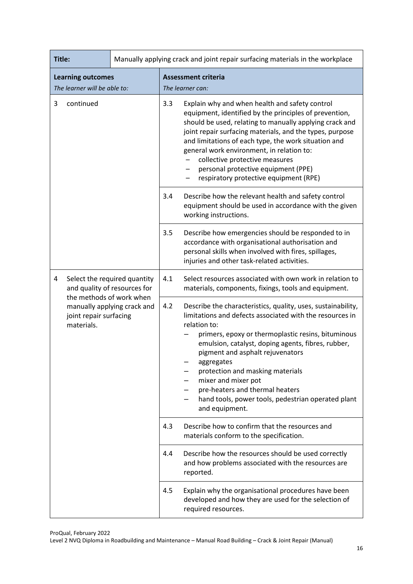| Title:         |                                                                                                 |     |                                                                                                                                                                                                                                                                                                                                                                                                                                                                              | Manually applying crack and joint repair surfacing materials in the workplace                                                                                                                                                                                                                                                                                                                                                                           |
|----------------|-------------------------------------------------------------------------------------------------|-----|------------------------------------------------------------------------------------------------------------------------------------------------------------------------------------------------------------------------------------------------------------------------------------------------------------------------------------------------------------------------------------------------------------------------------------------------------------------------------|---------------------------------------------------------------------------------------------------------------------------------------------------------------------------------------------------------------------------------------------------------------------------------------------------------------------------------------------------------------------------------------------------------------------------------------------------------|
|                | <b>Learning outcomes</b>                                                                        |     |                                                                                                                                                                                                                                                                                                                                                                                                                                                                              | <b>Assessment criteria</b>                                                                                                                                                                                                                                                                                                                                                                                                                              |
|                | The learner will be able to:                                                                    |     |                                                                                                                                                                                                                                                                                                                                                                                                                                                                              | The learner can:                                                                                                                                                                                                                                                                                                                                                                                                                                        |
| 3<br>continued |                                                                                                 |     | 3.3                                                                                                                                                                                                                                                                                                                                                                                                                                                                          | Explain why and when health and safety control<br>equipment, identified by the principles of prevention,<br>should be used, relating to manually applying crack and<br>joint repair surfacing materials, and the types, purpose<br>and limitations of each type, the work situation and<br>general work environment, in relation to:<br>collective protective measures<br>personal protective equipment (PPE)<br>respiratory protective equipment (RPE) |
|                |                                                                                                 | 3.4 | Describe how the relevant health and safety control<br>equipment should be used in accordance with the given<br>working instructions.                                                                                                                                                                                                                                                                                                                                        |                                                                                                                                                                                                                                                                                                                                                                                                                                                         |
|                |                                                                                                 | 3.5 | Describe how emergencies should be responded to in<br>accordance with organisational authorisation and<br>personal skills when involved with fires, spillages,<br>injuries and other task-related activities.                                                                                                                                                                                                                                                                |                                                                                                                                                                                                                                                                                                                                                                                                                                                         |
| 4              | Select the required quantity<br>and quality of resources for                                    |     | 4.1                                                                                                                                                                                                                                                                                                                                                                                                                                                                          | Select resources associated with own work in relation to<br>materials, components, fixings, tools and equipment.                                                                                                                                                                                                                                                                                                                                        |
|                | the methods of work when<br>manually applying crack and<br>joint repair surfacing<br>materials. | 4.2 | Describe the characteristics, quality, uses, sustainability,<br>limitations and defects associated with the resources in<br>relation to:<br>primers, epoxy or thermoplastic resins, bituminous<br>emulsion, catalyst, doping agents, fibres, rubber,<br>pigment and asphalt rejuvenators<br>aggregates<br>protection and masking materials<br>mixer and mixer pot<br>pre-heaters and thermal heaters<br>hand tools, power tools, pedestrian operated plant<br>and equipment. |                                                                                                                                                                                                                                                                                                                                                                                                                                                         |
|                |                                                                                                 |     | 4.3                                                                                                                                                                                                                                                                                                                                                                                                                                                                          | Describe how to confirm that the resources and<br>materials conform to the specification.                                                                                                                                                                                                                                                                                                                                                               |
|                |                                                                                                 | 4.4 | Describe how the resources should be used correctly<br>and how problems associated with the resources are<br>reported.                                                                                                                                                                                                                                                                                                                                                       |                                                                                                                                                                                                                                                                                                                                                                                                                                                         |
|                |                                                                                                 | 4.5 | Explain why the organisational procedures have been<br>developed and how they are used for the selection of<br>required resources.                                                                                                                                                                                                                                                                                                                                           |                                                                                                                                                                                                                                                                                                                                                                                                                                                         |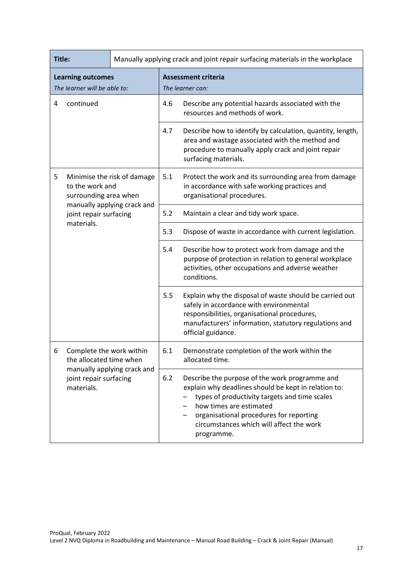| Title:                                                   |                                                                                                                            | Manually applying crack and joint repair surfacing materials in the workplace |                                                                                                                                                                                             |                                                                                                                                                                                                                                                                                         |  |
|----------------------------------------------------------|----------------------------------------------------------------------------------------------------------------------------|-------------------------------------------------------------------------------|---------------------------------------------------------------------------------------------------------------------------------------------------------------------------------------------|-----------------------------------------------------------------------------------------------------------------------------------------------------------------------------------------------------------------------------------------------------------------------------------------|--|
| <b>Learning outcomes</b><br>The learner will be able to: |                                                                                                                            | <b>Assessment criteria</b><br>The learner can:                                |                                                                                                                                                                                             |                                                                                                                                                                                                                                                                                         |  |
| 4                                                        | continued                                                                                                                  |                                                                               | 4.6                                                                                                                                                                                         | Describe any potential hazards associated with the<br>resources and methods of work.                                                                                                                                                                                                    |  |
|                                                          |                                                                                                                            | 4.7                                                                           | Describe how to identify by calculation, quantity, length,<br>area and wastage associated with the method and<br>procedure to manually apply crack and joint repair<br>surfacing materials. |                                                                                                                                                                                                                                                                                         |  |
| 5                                                        |                                                                                                                            | Minimise the risk of damage<br>to the work and<br>surrounding area when       |                                                                                                                                                                                             | Protect the work and its surrounding area from damage<br>in accordance with safe working practices and<br>organisational procedures.                                                                                                                                                    |  |
|                                                          | manually applying crack and<br>joint repair surfacing<br>materials.                                                        |                                                                               | 5.2                                                                                                                                                                                         | Maintain a clear and tidy work space.                                                                                                                                                                                                                                                   |  |
|                                                          |                                                                                                                            |                                                                               | 5.3                                                                                                                                                                                         | Dispose of waste in accordance with current legislation.                                                                                                                                                                                                                                |  |
|                                                          |                                                                                                                            |                                                                               | 5.4                                                                                                                                                                                         | Describe how to protect work from damage and the<br>purpose of protection in relation to general workplace<br>activities, other occupations and adverse weather<br>conditions.                                                                                                          |  |
|                                                          |                                                                                                                            |                                                                               | 5.5                                                                                                                                                                                         | Explain why the disposal of waste should be carried out<br>safely in accordance with environmental<br>responsibilities, organisational procedures,<br>manufacturers' information, statutory regulations and<br>official guidance.                                                       |  |
| 6                                                        | Complete the work within<br>the allocated time when<br>manually applying crack and<br>joint repair surfacing<br>materials. |                                                                               | 6.1                                                                                                                                                                                         | Demonstrate completion of the work within the<br>allocated time.                                                                                                                                                                                                                        |  |
|                                                          |                                                                                                                            |                                                                               | 6.2                                                                                                                                                                                         | Describe the purpose of the work programme and<br>explain why deadlines should be kept in relation to:<br>types of productivity targets and time scales<br>how times are estimated<br>organisational procedures for reporting<br>circumstances which will affect the work<br>programme. |  |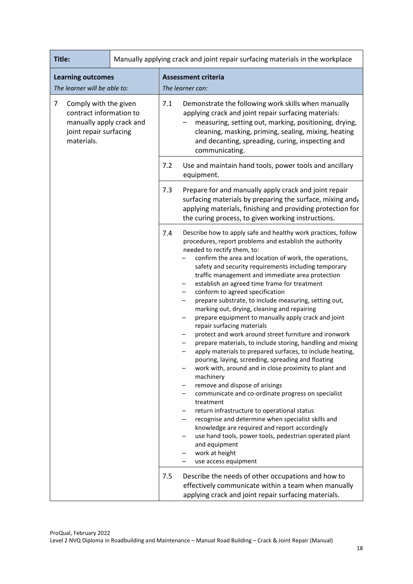| Title:                                                                                                                                 | Manually applying crack and joint repair surfacing materials in the workplace |                                                                                                                                                                                                                                                                                                                                                                                                                                                                                                                                                                                                                                                                                                                                                                                                                                                                                                                                                                                                                                                                                                                                                                                                                                                                                                                                               |  |
|----------------------------------------------------------------------------------------------------------------------------------------|-------------------------------------------------------------------------------|-----------------------------------------------------------------------------------------------------------------------------------------------------------------------------------------------------------------------------------------------------------------------------------------------------------------------------------------------------------------------------------------------------------------------------------------------------------------------------------------------------------------------------------------------------------------------------------------------------------------------------------------------------------------------------------------------------------------------------------------------------------------------------------------------------------------------------------------------------------------------------------------------------------------------------------------------------------------------------------------------------------------------------------------------------------------------------------------------------------------------------------------------------------------------------------------------------------------------------------------------------------------------------------------------------------------------------------------------|--|
| <b>Learning outcomes</b><br>The learner will be able to:                                                                               |                                                                               | <b>Assessment criteria</b><br>The learner can:                                                                                                                                                                                                                                                                                                                                                                                                                                                                                                                                                                                                                                                                                                                                                                                                                                                                                                                                                                                                                                                                                                                                                                                                                                                                                                |  |
| $\overline{7}$<br>Comply with the given<br>contract information to<br>manually apply crack and<br>joint repair surfacing<br>materials. |                                                                               | 7.1<br>Demonstrate the following work skills when manually<br>applying crack and joint repair surfacing materials:<br>measuring, setting out, marking, positioning, drying,<br>cleaning, masking, priming, sealing, mixing, heating<br>and decanting, spreading, curing, inspecting and<br>communicating.                                                                                                                                                                                                                                                                                                                                                                                                                                                                                                                                                                                                                                                                                                                                                                                                                                                                                                                                                                                                                                     |  |
|                                                                                                                                        |                                                                               | 7.2<br>Use and maintain hand tools, power tools and ancillary<br>equipment.                                                                                                                                                                                                                                                                                                                                                                                                                                                                                                                                                                                                                                                                                                                                                                                                                                                                                                                                                                                                                                                                                                                                                                                                                                                                   |  |
|                                                                                                                                        |                                                                               | 7.3<br>Prepare for and manually apply crack and joint repair<br>surfacing materials by preparing the surface, mixing and,<br>applying materials, finishing and providing protection for<br>the curing process, to given working instructions.                                                                                                                                                                                                                                                                                                                                                                                                                                                                                                                                                                                                                                                                                                                                                                                                                                                                                                                                                                                                                                                                                                 |  |
|                                                                                                                                        |                                                                               | Describe how to apply safe and healthy work practices, follow<br>7.4<br>procedures, report problems and establish the authority<br>needed to rectify them, to:<br>confirm the area and location of work, the operations,<br>safety and security requirements including temporary<br>traffic management and immediate area protection<br>establish an agreed time frame for treatment<br>-<br>conform to agreed specification<br>-<br>prepare substrate, to include measuring, setting out,<br>-<br>marking out, drying, cleaning and repairing<br>prepare equipment to manually apply crack and joint<br>-<br>repair surfacing materials<br>protect and work around street furniture and ironwork<br>-<br>prepare materials, to include storing, handling and mixing<br>apply materials to prepared surfaces, to include heating,<br>pouring, laying, screeding, spreading and floating<br>work with, around and in close proximity to plant and<br>machinery<br>remove and dispose of arisings<br>communicate and co-ordinate progress on specialist<br>treatment<br>return infrastructure to operational status<br>recognise and determine when specialist skills and<br>knowledge are required and report accordingly<br>use hand tools, power tools, pedestrian operated plant<br>and equipment<br>work at height<br>use access equipment |  |
|                                                                                                                                        |                                                                               | Describe the needs of other occupations and how to<br>7.5<br>effectively communicate within a team when manually<br>applying crack and joint repair surfacing materials.                                                                                                                                                                                                                                                                                                                                                                                                                                                                                                                                                                                                                                                                                                                                                                                                                                                                                                                                                                                                                                                                                                                                                                      |  |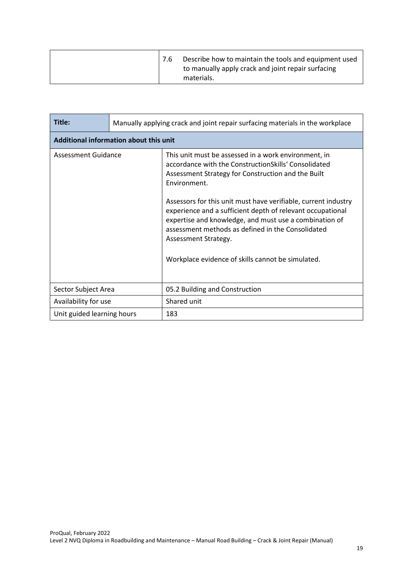|  | Describe how to maintain the tools and equipment used |
|--|-------------------------------------------------------|
|  | to manually apply crack and joint repair surfacing    |
|  | materials.                                            |

| Title:                                 | Manually applying crack and joint repair surfacing materials in the workplace |                                                                                                                                                                                                                                                                                                                                                                                                                                                                                                                |  |  |  |
|----------------------------------------|-------------------------------------------------------------------------------|----------------------------------------------------------------------------------------------------------------------------------------------------------------------------------------------------------------------------------------------------------------------------------------------------------------------------------------------------------------------------------------------------------------------------------------------------------------------------------------------------------------|--|--|--|
| Additional information about this unit |                                                                               |                                                                                                                                                                                                                                                                                                                                                                                                                                                                                                                |  |  |  |
| Assessment Guidance                    |                                                                               | This unit must be assessed in a work environment, in<br>accordance with the ConstructionSkills' Consolidated<br>Assessment Strategy for Construction and the Built<br>Environment.<br>Assessors for this unit must have verifiable, current industry<br>experience and a sufficient depth of relevant occupational<br>expertise and knowledge, and must use a combination of<br>assessment methods as defined in the Consolidated<br>Assessment Strategy.<br>Workplace evidence of skills cannot be simulated. |  |  |  |
| Sector Subject Area                    |                                                                               | 05.2 Building and Construction                                                                                                                                                                                                                                                                                                                                                                                                                                                                                 |  |  |  |
| Availability for use                   |                                                                               | Shared unit                                                                                                                                                                                                                                                                                                                                                                                                                                                                                                    |  |  |  |
| Unit guided learning hours             |                                                                               | 183                                                                                                                                                                                                                                                                                                                                                                                                                                                                                                            |  |  |  |